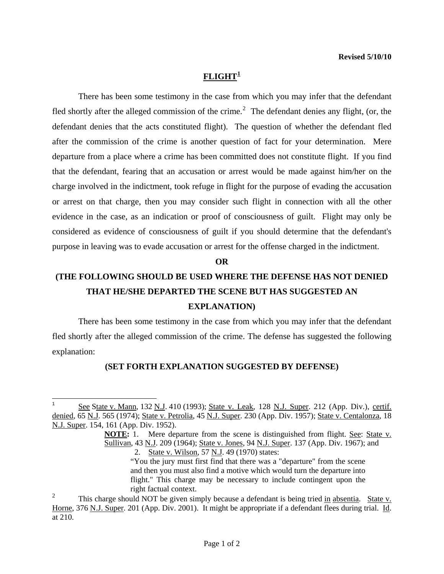## **FLIGHT[1](#page-0-0)**

 There has been some testimony in the case from which you may infer that the defendant fled shortly after the alleged commission of the crime.<sup>[2](#page-0-1)</sup> The defendant denies any flight, (or, the defendant denies that the acts constituted flight). The question of whether the defendant fled after the commission of the crime is another question of fact for your determination. Mere departure from a place where a crime has been committed does not constitute flight. If you find that the defendant, fearing that an accusation or arrest would be made against him/her on the charge involved in the indictment, took refuge in flight for the purpose of evading the accusation or arrest on that charge, then you may consider such flight in connection with all the other evidence in the case, as an indication or proof of consciousness of guilt. Flight may only be considered as evidence of consciousness of guilt if you should determine that the defendant's purpose in leaving was to evade accusation or arrest for the offense charged in the indictment.

#### **OR**

# **(THE FOLLOWING SHOULD BE USED WHERE THE DEFENSE HAS NOT DENIED THAT HE/SHE DEPARTED THE SCENE BUT HAS SUGGESTED AN EXPLANATION)**

 There has been some testimony in the case from which you may infer that the defendant fled shortly after the alleged commission of the crime. The defense has suggested the following explanation:

## **(SET FORTH EXPLANATION SUGGESTED BY DEFENSE)**

l

<span id="page-0-0"></span><sup>1</sup> See State v. Mann, 132 N.J. 410 (1993); State v. Leak, 128 N.J. Super. 212 (App. Div.), certif. denied, 65 N.J. 565 (1974); State v. Petrolia, 45 N.J. Super. 230 (App. Div. 1957); State v. Centalonza, 18 N.J. Super. 154, 161 (App. Div. 1952).

**NOTE:** 1. Mere departure from the scene is distinguished from flight. See: State v. Sullivan, 43 N.J. 209 (1964); State v. Jones, 94 N.J. Super. 137 (App. Div. 1967); and 2. State v. Wilson, 57 N.J. 49 (1970) states:

<sup>&</sup>quot;You the jury must first find that there was a "departure" from the scene and then you must also find a motive which would turn the departure into flight." This charge may be necessary to include contingent upon the right factual context.

<span id="page-0-1"></span><sup>2</sup> This charge should NOT be given simply because a defendant is being tried in absentia. State v. Horne, 376 N.J. Super. 201 (App. Div. 2001). It might be appropriate if a defendant flees during trial. Id. at 210.